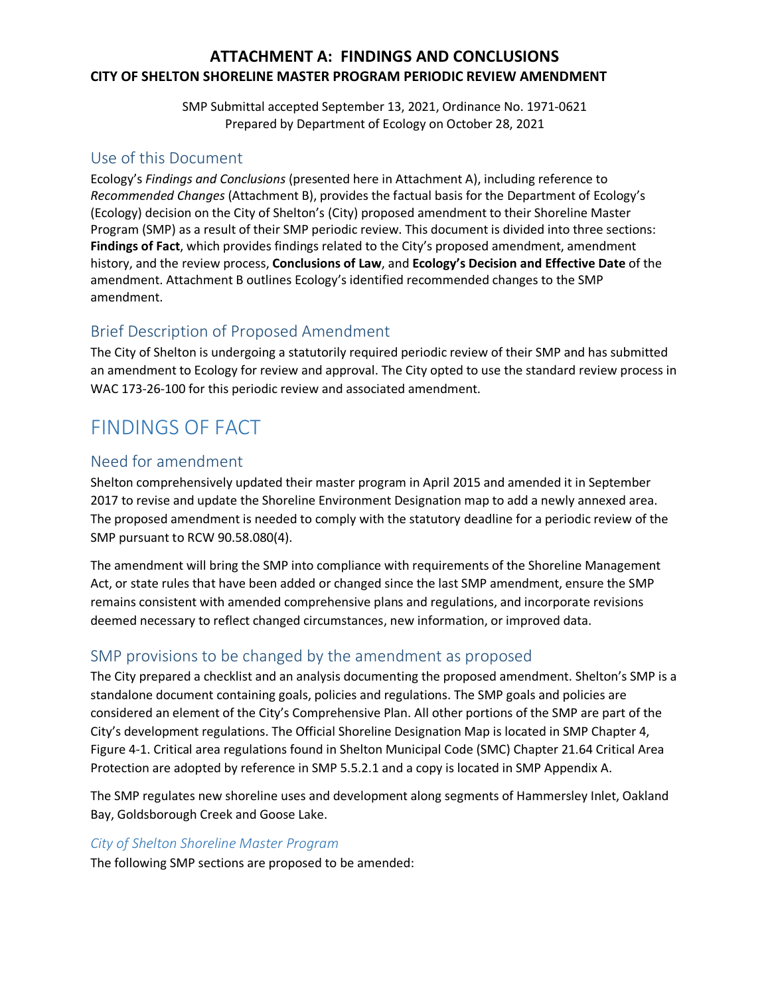## **ATTACHMENT A: FINDINGS AND CONCLUSIONS CITY OF SHELTON SHORELINE MASTER PROGRAM PERIODIC REVIEW AMENDMENT**

SMP Submittal accepted September 13, 2021, Ordinance No. 1971-0621 Prepared by Department of Ecology on October 28, 2021

## Use of this Document

Ecology's *Findings and Conclusions* (presented here in Attachment A), including reference to *Recommended Changes* (Attachment B), provides the factual basis for the Department of Ecology's (Ecology) decision on the City of Shelton's (City) proposed amendment to their Shoreline Master Program (SMP) as a result of their SMP periodic review. This document is divided into three sections: **Findings of Fact**, which provides findings related to the City's proposed amendment, amendment history, and the review process, **Conclusions of Law**, and **Ecology's Decision and Effective Date** of the amendment. Attachment B outlines Ecology's identified recommended changes to the SMP amendment.

# Brief Description of Proposed Amendment

The City of Shelton is undergoing a statutorily required periodic review of their SMP and has submitted an amendment to Ecology for review and approval. The City opted to use the standard review process in WAC 173-26-100 for this periodic review and associated amendment.

# FINDINGS OF FACT

# Need for amendment

Shelton comprehensively updated their master program in April 2015 and amended it in September 2017 to revise and update the Shoreline Environment Designation map to add a newly annexed area. The proposed amendment is needed to comply with the statutory deadline for a periodic review of the SMP pursuant to RCW 90.58.080(4).

The amendment will bring the SMP into compliance with requirements of the Shoreline Management Act, or state rules that have been added or changed since the last SMP amendment, ensure the SMP remains consistent with amended comprehensive plans and regulations, and incorporate revisions deemed necessary to reflect changed circumstances, new information, or improved data.

# SMP provisions to be changed by the amendment as proposed

The City prepared a checklist and an analysis documenting the proposed amendment. Shelton's SMP is a standalone document containing goals, policies and regulations. The SMP goals and policies are considered an element of the City's Comprehensive Plan. All other portions of the SMP are part of the City's development regulations. The Official Shoreline Designation Map is located in SMP Chapter 4, Figure 4-1. Critical area regulations found in Shelton Municipal Code (SMC) Chapter 21.64 Critical Area Protection are adopted by reference in SMP 5.5.2.1 and a copy is located in SMP Appendix A.

The SMP regulates new shoreline uses and development along segments of Hammersley Inlet, Oakland Bay, Goldsborough Creek and Goose Lake.

### *City of Shelton Shoreline Master Program*

The following SMP sections are proposed to be amended: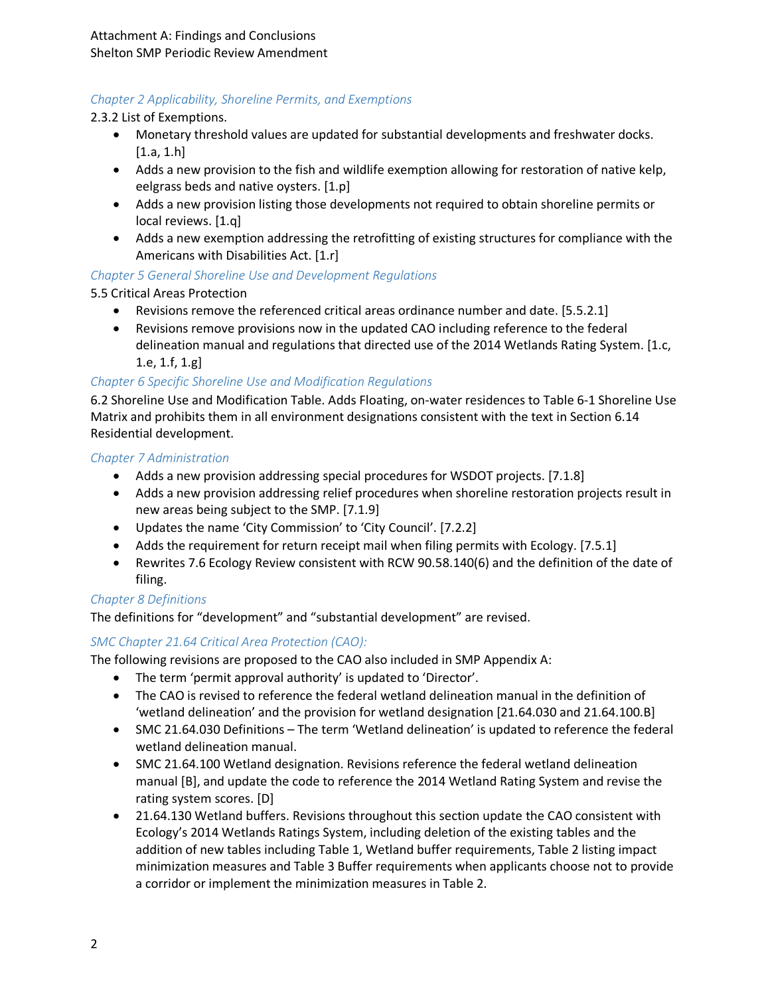## *Chapter 2 Applicability, Shoreline Permits, and Exemptions*

2.3.2 List of Exemptions.

- Monetary threshold values are updated for substantial developments and freshwater docks.  $[1.a, 1.h]$
- Adds a new provision to the fish and wildlife exemption allowing for restoration of native kelp, eelgrass beds and native oysters. [1.p]
- Adds a new provision listing those developments not required to obtain shoreline permits or local reviews. [1.q]
- Adds a new exemption addressing the retrofitting of existing structures for compliance with the Americans with Disabilities Act. [1.r]

### *Chapter 5 General Shoreline Use and Development Regulations*

5.5 Critical Areas Protection

- Revisions remove the referenced critical areas ordinance number and date. [5.5.2.1]
- Revisions remove provisions now in the updated CAO including reference to the federal delineation manual and regulations that directed use of the 2014 Wetlands Rating System. [1.c, 1.e, 1.f, 1.g]

### *Chapter 6 Specific Shoreline Use and Modification Regulations*

6.2 Shoreline Use and Modification Table. Adds Floating, on-water residences to Table 6-1 Shoreline Use Matrix and prohibits them in all environment designations consistent with the text in Section 6.14 Residential development.

### *Chapter 7 Administration*

- Adds a new provision addressing special procedures for WSDOT projects. [7.1.8]
- Adds a new provision addressing relief procedures when shoreline restoration projects result in new areas being subject to the SMP. [7.1.9]
- Updates the name 'City Commission' to 'City Council'. [7.2.2]
- Adds the requirement for return receipt mail when filing permits with Ecology. [7.5.1]
- Rewrites 7.6 Ecology Review consistent with RCW 90.58.140(6) and the definition of the date of filing.

### *Chapter 8 Definitions*

The definitions for "development" and "substantial development" are revised.

### *SMC Chapter 21.64 Critical Area Protection (CAO):*

The following revisions are proposed to the CAO also included in SMP Appendix A:

- The term 'permit approval authority' is updated to 'Director'.
- The CAO is revised to reference the federal wetland delineation manual in the definition of 'wetland delineation' and the provision for wetland designation [21.64.030 and 21.64.100.B]
- SMC 21.64.030 Definitions The term 'Wetland delineation' is updated to reference the federal wetland delineation manual.
- SMC 21.64.100 Wetland designation. Revisions reference the federal wetland delineation manual [B], and update the code to reference the 2014 Wetland Rating System and revise the rating system scores. [D]
- 21.64.130 Wetland buffers. Revisions throughout this section update the CAO consistent with Ecology's 2014 Wetlands Ratings System, including deletion of the existing tables and the addition of new tables including Table 1, Wetland buffer requirements, Table 2 listing impact minimization measures and Table 3 Buffer requirements when applicants choose not to provide a corridor or implement the minimization measures in Table 2.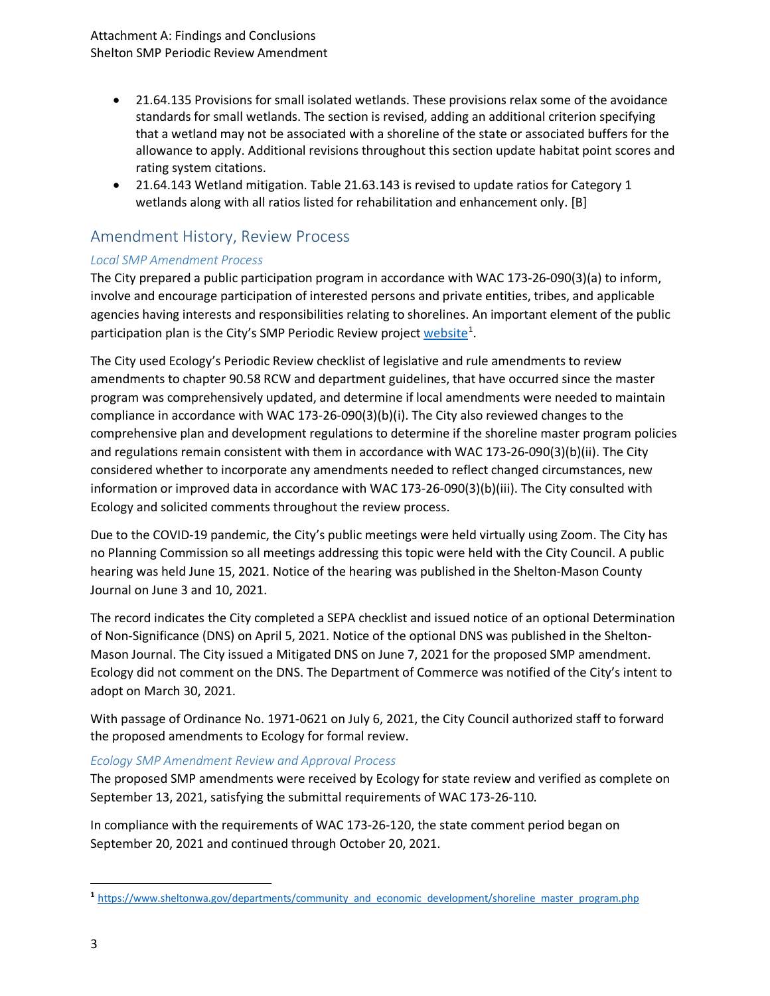- 21.64.135 Provisions for small isolated wetlands. These provisions relax some of the avoidance standards for small wetlands. The section is revised, adding an additional criterion specifying that a wetland may not be associated with a shoreline of the state or associated buffers for the allowance to apply. Additional revisions throughout this section update habitat point scores and rating system citations.
- 21.64.143 Wetland mitigation. Table 21.63.143 is revised to update ratios for Category 1 wetlands along with all ratios listed for rehabilitation and enhancement only. [B]

# Amendment History, Review Process

### *Local SMP Amendment Process*

The City prepared a public participation program in accordance with WAC 173-26-090(3)(a) to inform, involve and encourage participation of interested persons and private entities, tribes, and applicable agencies having interests and responsibilities relating to shorelines. An important element of the public participation plan is the City's SMP Periodic Review project [website](https://www.sheltonwa.gov/departments/community_and_economic_development/shoreline_master_program.php)<sup>[1](#page-2-0)</sup>.

The City used Ecology's Periodic Review checklist of legislative and rule amendments to review amendments to chapter 90.58 RCW and department guidelines, that have occurred since the master program was comprehensively updated, and determine if local amendments were needed to maintain compliance in accordance with WAC 173-26-090(3)(b)(i). The City also reviewed changes to the comprehensive plan and development regulations to determine if the shoreline master program policies and regulations remain consistent with them in accordance with WAC 173-26-090(3)(b)(ii). The City considered whether to incorporate any amendments needed to reflect changed circumstances, new information or improved data in accordance with WAC 173-26-090(3)(b)(iii). The City consulted with Ecology and solicited comments throughout the review process.

Due to the COVID-19 pandemic, the City's public meetings were held virtually using Zoom. The City has no Planning Commission so all meetings addressing this topic were held with the City Council. A public hearing was held June 15, 2021. Notice of the hearing was published in the Shelton-Mason County Journal on June 3 and 10, 2021.

The record indicates the City completed a SEPA checklist and issued notice of an optional Determination of Non-Significance (DNS) on April 5, 2021. Notice of the optional DNS was published in the Shelton-Mason Journal. The City issued a Mitigated DNS on June 7, 2021 for the proposed SMP amendment. Ecology did not comment on the DNS. The Department of Commerce was notified of the City's intent to adopt on March 30, 2021.

With passage of Ordinance No. 1971-0621 on July 6, 2021, the City Council authorized staff to forward the proposed amendments to Ecology for formal review.

### *Ecology SMP Amendment Review and Approval Process*

The proposed SMP amendments were received by Ecology for state review and verified as complete on September 13, 2021, satisfying the submittal requirements of WAC 173-26-110*.*

In compliance with the requirements of WAC 173-26-120, the state comment period began on September 20, 2021 and continued through October 20, 2021.

 $\overline{\phantom{a}}$ 

<span id="page-2-0"></span>**<sup>1</sup>** [https://www.sheltonwa.gov/departments/community\\_and\\_economic\\_development/shoreline\\_master\\_program.php](https://www.sheltonwa.gov/departments/community_and_economic_development/shoreline_master_program.php)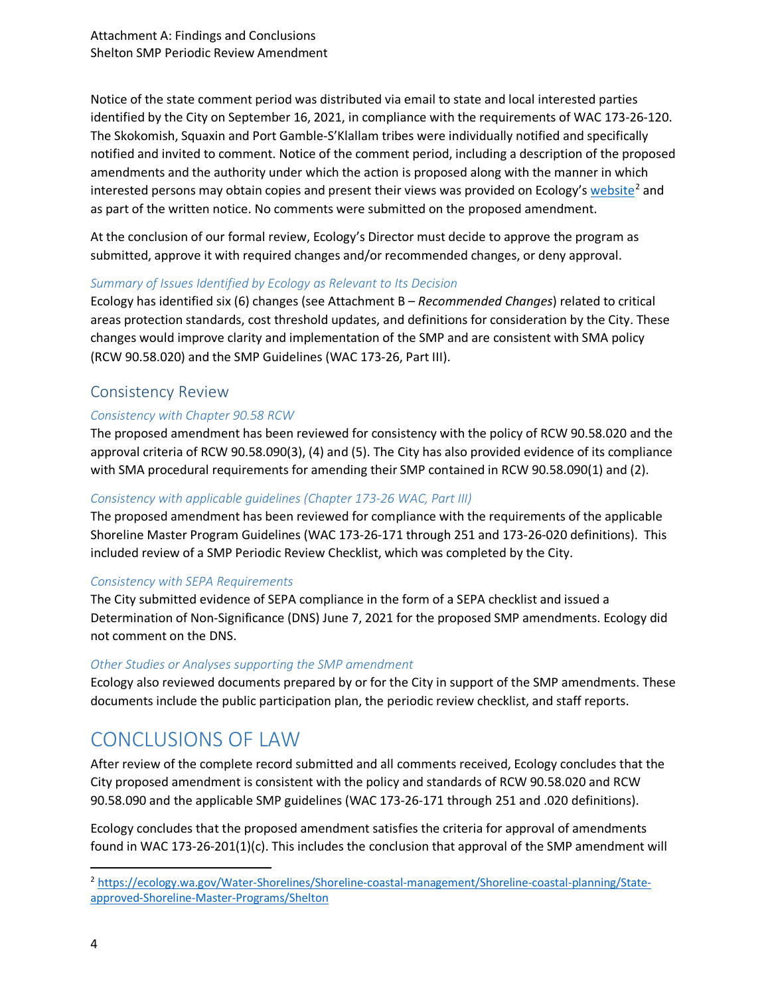Notice of the state comment period was distributed via email to state and local interested parties identified by the City on September 16, 2021, in compliance with the requirements of WAC 173-26-120. The Skokomish, Squaxin and Port Gamble-S'Klallam tribes were individually notified and specifically notified and invited to comment. Notice of the comment period, including a description of the proposed amendments and the authority under which the action is proposed along with the manner in which interested persons may obtain copies and present their views was provided on Ecology's [website](https://ecology.wa.gov/Water-Shorelines/Shoreline-coastal-)<sup>[2](#page-3-0)</sup> and as part of the written notice. No comments were submitted on the proposed amendment.

At the conclusion of our formal review, Ecology's Director must decide to approve the program as submitted, approve it with required changes and/or recommended changes, or deny approval.

### *Summary of Issues Identified by Ecology as Relevant to Its Decision*

Ecology has identified six (6) changes (see Attachment B – *Recommended Changes*) related to critical areas protection standards, cost threshold updates, and definitions for consideration by the City. These changes would improve clarity and implementation of the SMP and are consistent with SMA policy (RCW 90.58.020) and the SMP Guidelines (WAC 173-26, Part III).

## Consistency Review

### *Consistency with Chapter 90.58 RCW*

The proposed amendment has been reviewed for consistency with the policy of RCW 90.58.020 and the approval criteria of RCW 90.58.090(3), (4) and (5). The City has also provided evidence of its compliance with SMA procedural requirements for amending their SMP contained in RCW 90.58.090(1) and (2).

### *Consistency with applicable guidelines (Chapter 173-26 WAC, Part III)*

The proposed amendment has been reviewed for compliance with the requirements of the applicable Shoreline Master Program Guidelines (WAC 173-26-171 through 251 and 173-26-020 definitions). This included review of a SMP Periodic Review Checklist, which was completed by the City.

### *Consistency with SEPA Requirements*

The City submitted evidence of SEPA compliance in the form of a SEPA checklist and issued a Determination of Non-Significance (DNS) June 7, 2021 for the proposed SMP amendments. Ecology did not comment on the DNS.

### *Other Studies or Analyses supporting the SMP amendment*

Ecology also reviewed documents prepared by or for the City in support of the SMP amendments. These documents include the public participation plan, the periodic review checklist, and staff reports.

# CONCLUSIONS OF LAW

After review of the complete record submitted and all comments received, Ecology concludes that the City proposed amendment is consistent with the policy and standards of RCW 90.58.020 and RCW 90.58.090 and the applicable SMP guidelines (WAC 173-26-171 through 251 and .020 definitions).

Ecology concludes that the proposed amendment satisfies the criteria for approval of amendments found in WAC 173-26-201(1)(c). This includes the conclusion that approval of the SMP amendment will

<span id="page-3-0"></span> <sup>2</sup> [https://ecology.wa.gov/Water-Shorelines/Shoreline-coastal-management/Shoreline-coastal-planning/State](https://ecology.wa.gov/Water-Shorelines/Shoreline-coastal-management/Shoreline-coastal-planning/State-approved-Shoreline-Master-Programs/Shelton)[approved-Shoreline-Master-Programs/Shelton](https://ecology.wa.gov/Water-Shorelines/Shoreline-coastal-management/Shoreline-coastal-planning/State-approved-Shoreline-Master-Programs/Shelton)